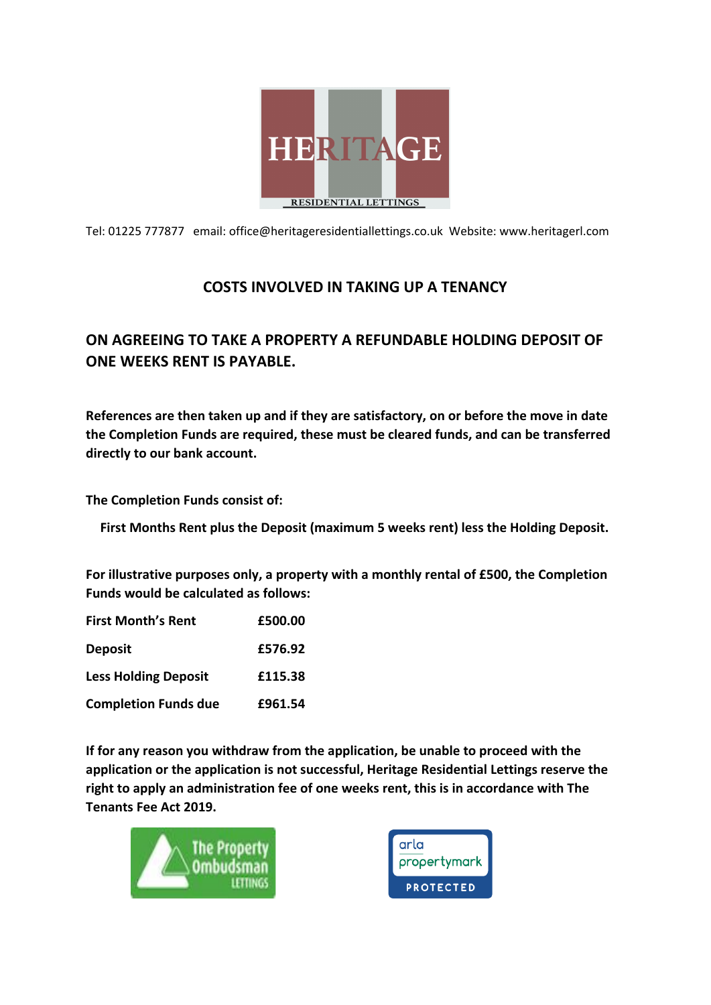

Tel: 01225 777877 email: office@heritageresidentiallettings.co.uk Website: www.heritagerl.com

## **COSTS INVOLVED IN TAKING UP A TENANCY**

# **ON AGREEING TO TAKE A PROPERTY A REFUNDABLE HOLDING DEPOSIT OF ONE WEEKS RENT IS PAYABLE.**

**References are then taken up and if they are satisfactory, on or before the move in date the Completion Funds are required, these must be cleared funds, and can be transferred directly to our bank account.**

**The Completion Funds consist of:**

**First Months Rent plus the Deposit (maximum 5 weeks rent) less the Holding Deposit.**

**For illustrative purposes only, a property with a monthly rental of £500, the Completion Funds would be calculated as follows:**

| <b>First Month's Rent</b>   | £500.00 |
|-----------------------------|---------|
| <b>Deposit</b>              | £576.92 |
| <b>Less Holding Deposit</b> | £115.38 |
| <b>Completion Funds due</b> | £961.54 |

**If for any reason you withdraw from the application, be unable to proceed with the application or the application is not successful, Heritage Residential Lettings reserve the right to apply an administration fee of one weeks rent, this is in accordance with The Tenants Fee Act 2019.**



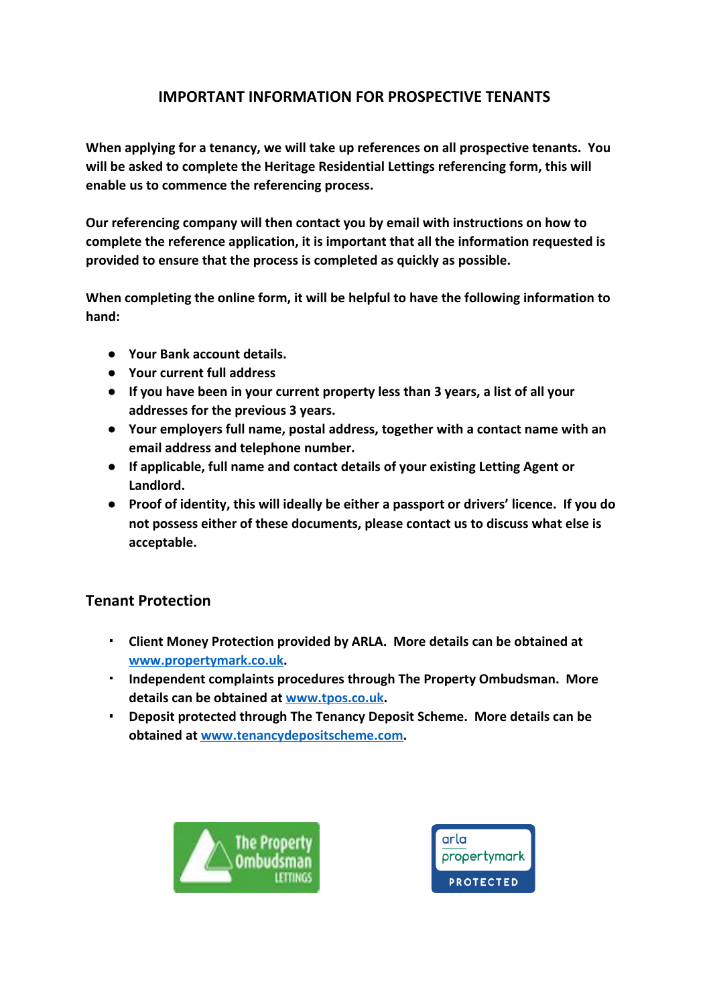## **IMPORTANT INFORMATION FOR PROSPECTIVE TENANTS**

**When applying for a tenancy, we will take up references on all prospective tenants. You will be asked to complete the Heritage Residential Lettings referencing form, this will enable us to commence the referencing process.**

**Our referencing company will then contact you by email with instructions on how to complete the reference application, it is important that all the information requested is provided to ensure that the process is completed as quickly as possible.**

**When completing the online form, it will be helpful to have the following information to hand:**

- **● Your Bank account details.**
- **● Your current full address**
- **● If you have been in your current property less than 3 years, a list of all your addresses for the previous 3 years.**
- **● Your employers full name, postal address, together with a contact name with an email address and telephone number.**
- **● If applicable, full name and contact details of your existing Letting Agent or Landlord.**
- **● Proof of identity, this will ideally be either a passport or drivers' licence. If you do not possess either of these documents, please contact us to discuss what else is acceptable.**

#### **Tenant Protection**

- **Client Money Protection provided by ARLA. More details can be obtained at [www.propertymark.co.uk.](http://www.propertymark.co.uk/)**
- **Independent complaints procedures through The Property Ombudsman. More details can be obtained at [www.tpos.co.uk.](http://www.tpos.co.uk/)**
- **Deposit protected through The Tenancy Deposit Scheme. More details can be obtained at [www.tenancydepositscheme.com.](http://www.tenancydepositscheme.com/)**